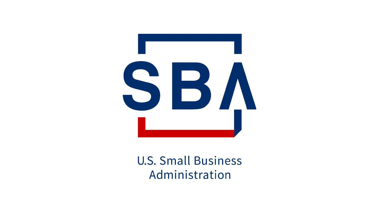

# **U.S. Small Business** Administration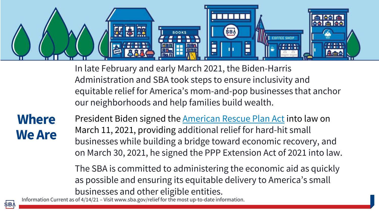

In late February and early March 2021, the Biden-Harris Administration and SBA took steps to ensure inclusivity and equitable relief for America's mom-and-pop businesses that anchor our neighborhoods and help families build wealth.

**Where We Are**

President Biden signed the [American Rescue Plan Act](https://www.congress.gov/117/bills/hr1319/BILLS-117hr1319enr.pdf) into law on March 11, 2021, providing additional relief for hard-hit small businesses while building a bridge toward economic recovery, and on March 30, 2021, he signed the PPP Extension Act of 2021 into law.

The SBA is committed to administering the economic aid as quickly as possible and ensuring its equitable delivery to America's small businesses and other eligible entities.

Information Current as of 4/14/21 – Visit www.sba.gov/relief for the most up-to-date information.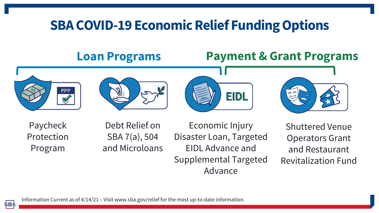# **SBA COVID-19 Economic Relief Funding Options**

## **Loan Programs Payment & Grant Programs**









Paycheck Protection Program

Debt Relief on SBA 7(a), 504 and Microloans

Economic Injury Disaster Loan, Targeted EIDL Advance and Supplemental Targeted Advance

Shuttered Venue Operators Grant and Restaurant Revitalization Fund

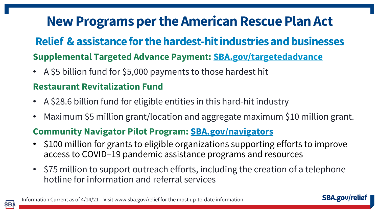# **New Programs per the American Rescue Plan Act**

# **Supplemental Targeted Advance Payment: SBA.gov/targetedadvance Relief & assistance for the hardest-hit industries and businesses**

• A \$5 billion fund for \$5,000 payments to those hardest hit

### **Restaurant Revitalization Fund**

- A \$28.6 billion fund for eligible entities in this hard-hit industry
- Maximum \$5 million grant/location and aggregate maximum \$10 million grant.

### **Community Navigator Pilot Program: [SBA.gov/navigators](http://www.sba.gov/navigators)**

- \$100 million for grants to eligible organizations supporting efforts to improve access to COVID–19 pandemic assistance programs and resources
- \$75 million to support outreach efforts, including the creation of a telephone hotline for information and referral services



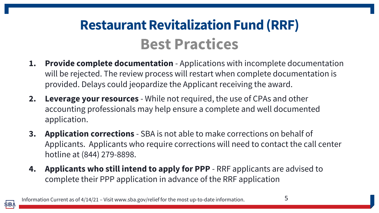# **Restaurant Revitalization Fund (RRF) Best Practices**

- **1. Provide complete documentation** Applications with incomplete documentation will be rejected. The review process will restart when complete documentation is provided. Delays could jeopardize the Applicant receiving the award.
- **2. Leverage your resources** While not required, the use of CPAs and other accounting professionals may help ensure a complete and well documented application.
- **3. Application corrections** SBA is not able to make corrections on behalf of Applicants. Applicants who require corrections will need to contact the call center hotline at (844) 279-8898.
- **4. Applicants who still intend to apply for PPP**  RRF applicants are advised to complete their PPP application in advance of the RRF application

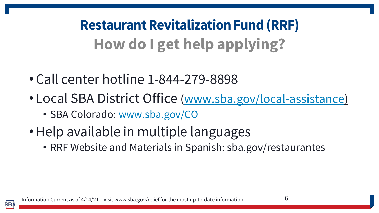**Restaurant Revitalization Fund (RRF) How do I get help applying?**

- Call center hotline 1-844-279-8898
- Local SBA District Office ([www.sba.gov/local-assistance\)](http://www.sba.gov/local-assistance) • SBA Colorado: [www.sba.gov/CO](http://www.sba.gov/CO)
- •Help available in multiple languages
	- RRF Website and Materials in Spanish: sba.gov/restaurantes

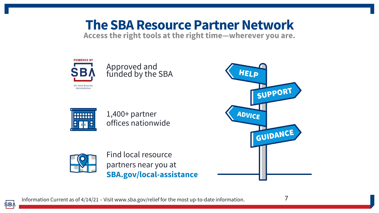# **The SBA Resource Partner Network**

**Access the right tools at the right time—wherever you are.**





1,400+ partner offices nationwide



**SBA** 

Find local resource partners near you at **SBA.gov/local-assistance**



7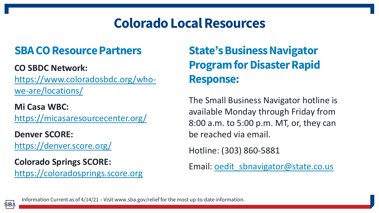# **Colorado Local Resources**

### **SBA CO Resource Partners**

### **CO SBDC Network:**

[https://www.coloradosbdc.org/who](https://www.coloradosbdc.org/who-we-are/locations/)we-are/locations/

**Mi Casa WBC:**  <https://micasaresourcecenter.org/>

**Denver SCORE:**  <https://denver.score.org/>

**Colorado Springs SCORE:** [https://coloradosprings.score.org](https://coloradosprings.score.org/)

# **State's Business Navigator Program for Disaster Rapid Response:**

The Small Business Navigator hotline is available Monday through Friday from 8:00 a.m. to 5:00 p.m. MT, or, they can be reached via email.

Hotline: (303) 860-5881

Email: [oedit\\_sbnavigator@state.co.us](mailto:oedit_sbnavigator@state.co.us)

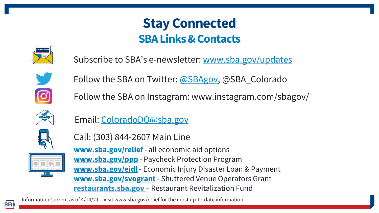# **Stay Connected SBA Links & Contacts**



Subscribe to SBA's e-newsletter: [www.sba.gov/updates](http://www.sba.gov/updates)



Follow the SBA on Twitter: [@SBAgov,](https://twitter.com/sbagov) @SBA\_Colorado

Follow the SBA on Instagram: www.instagram.com/sbagov/



Email: [ColoradoDO@sba.gov](mailto:ColoradoDO@sba.gov)



Call: (303) 844-2607 Main Line



**[www.sba.gov/relief](http://www.sba.gov/relief)** - all economic aid options **[www.sba.gov/ppp](http://www.sba.gov/ppp)** - Paycheck Protection Program **[www.sba.gov/eidl](http://www.sba.gov/eidl)** - Economic Injury Disaster Loan & Payment **[www.sba.gov/svogrant](http://www.sba.gov/svogrant)**- Shuttered Venue Operators Grant **restaurants.sba.gov** – Restaurant Revitalization Fund

Information Current as of 4/14/21 – Visit www.sba.gov/relief for the most up-to-date information.